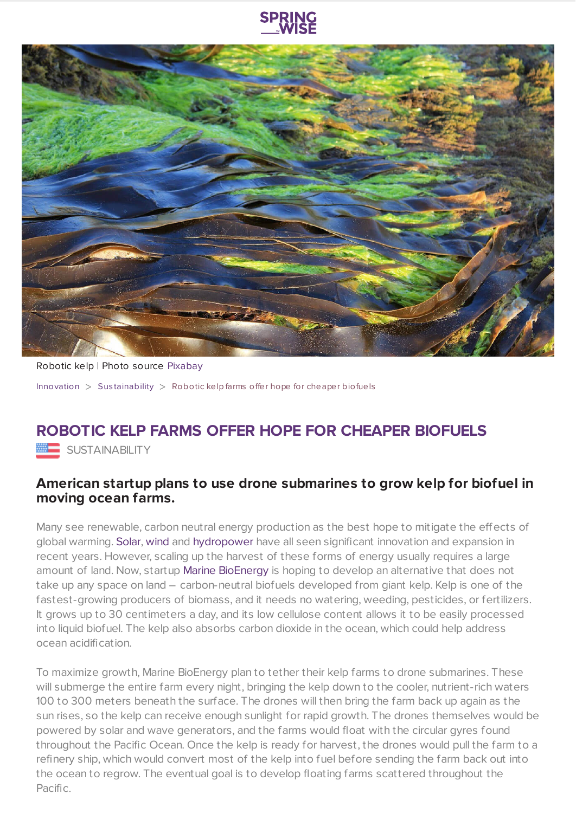



Robotic kelp | Photo source [Pixabay](https://pixabay.com/en/seaweed-kelp-nature-texture-marine-2360116/) [Innovation](https://www.springwise.com/search?type=innovation)  $>$  Sus[tainability](https://www.springwise.com/search?type=innovation§or=sustainability)  $>$  Robotic kelp farms offer hope for cheaper biofuels

## **ROBOTIC KELP FARMS OFFER HOPE FOR CHEAPER BIOFUELS**

**ME SUSTAINABILITY** 

## **American startup plans to use drone submarines to grow kelp for biofuel in moving ocean farms.**

Many see renewable, carbon neutral energy production as the best hope to mitigate the effects of global warming. [Solar,](https://www.springwise.com/abandoned-japanese-golf-courses-solar-farms/) [wind](https://www.springwise.com/worlds-first-floating-wind-farm/) and [hydropower](https://www.springwise.com/efficient-affordable-sea-power-making-waves/) have all seen significant innovation and expansion in recent years. However, scaling up the harvest of these forms of energy usually requires a large amount of land. Now, startup Marine [BioEnergy](http://www.marinebiomass.com/) is hoping to develop an alternative that does not take up any space on land – carbon-neutral biofuels developed from giant kelp. Kelp is one of the fastest-growing producers of biomass, and it needs no watering, weeding, pesticides, or fertilizers. It grows up to 30 centimeters a day, and its low cellulose content allows it to be easily processed into liquid biofuel. The kelp also absorbs carbon dioxide in the ocean, which could help address ocean acidification.

To maximize growth, Marine BioEnergy plan to tether their kelp farms to drone submarines. These will submerge the entire farm every night, bringing the kelp down to the cooler, nutrient-rich waters 100 to 300 meters beneath the surface. The drones will then bring the farm back up again as the sun rises, so the kelp can receive enough sunlight for rapid growth. The drones themselves would be powered by solar and wave generators, and the farms would float with the circular gyres found throughout the Pacific Ocean. Once the kelp is ready for harvest, the drones would pull the farm to a refinery ship, which would convert most of the kelp into fuel before sending the farm back out into the ocean to regrow. The eventual goal is to develop floating farms scattered throughout the Pacific.